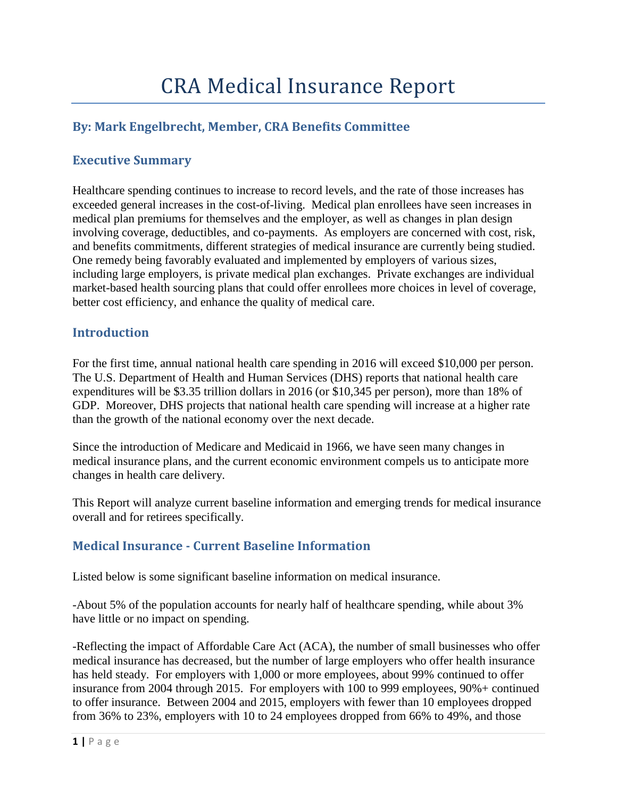# **By: Mark Engelbrecht, Member, CRA Benefits Committee**

#### **Executive Summary**

Healthcare spending continues to increase to record levels, and the rate of those increases has exceeded general increases in the cost-of-living. Medical plan enrollees have seen increases in medical plan premiums for themselves and the employer, as well as changes in plan design involving coverage, deductibles, and co-payments. As employers are concerned with cost, risk, and benefits commitments, different strategies of medical insurance are currently being studied. One remedy being favorably evaluated and implemented by employers of various sizes, including large employers, is private medical plan exchanges. Private exchanges are individual market-based health sourcing plans that could offer enrollees more choices in level of coverage, better cost efficiency, and enhance the quality of medical care.

#### **Introduction**

For the first time, annual national health care spending in 2016 will exceed \$10,000 per person. The U.S. Department of Health and Human Services (DHS) reports that national health care expenditures will be \$3.35 trillion dollars in 2016 (or \$10,345 per person), more than 18% of GDP. Moreover, DHS projects that national health care spending will increase at a higher rate than the growth of the national economy over the next decade.

Since the introduction of Medicare and Medicaid in 1966, we have seen many changes in medical insurance plans, and the current economic environment compels us to anticipate more changes in health care delivery.

This Report will analyze current baseline information and emerging trends for medical insurance overall and for retirees specifically.

#### **Medical Insurance - Current Baseline Information**

Listed below is some significant baseline information on medical insurance.

-About 5% of the population accounts for nearly half of healthcare spending, while about 3% have little or no impact on spending.

-Reflecting the impact of Affordable Care Act (ACA), the number of small businesses who offer medical insurance has decreased, but the number of large employers who offer health insurance has held steady. For employers with 1,000 or more employees, about 99% continued to offer insurance from 2004 through 2015. For employers with 100 to 999 employees, 90%+ continued to offer insurance. Between 2004 and 2015, employers with fewer than 10 employees dropped from 36% to 23%, employers with 10 to 24 employees dropped from 66% to 49%, and those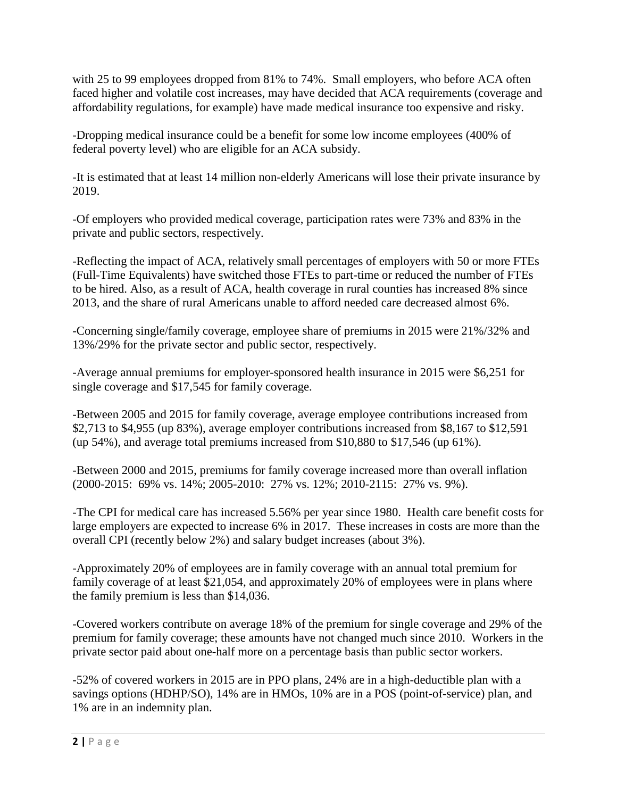with 25 to 99 employees dropped from 81% to 74%. Small employers, who before ACA often faced higher and volatile cost increases, may have decided that ACA requirements (coverage and affordability regulations, for example) have made medical insurance too expensive and risky.

-Dropping medical insurance could be a benefit for some low income employees (400% of federal poverty level) who are eligible for an ACA subsidy.

-It is estimated that at least 14 million non-elderly Americans will lose their private insurance by 2019.

-Of employers who provided medical coverage, participation rates were 73% and 83% in the private and public sectors, respectively.

-Reflecting the impact of ACA, relatively small percentages of employers with 50 or more FTEs (Full-Time Equivalents) have switched those FTEs to part-time or reduced the number of FTEs to be hired. Also, as a result of ACA, health coverage in rural counties has increased 8% since 2013, and the share of rural Americans unable to afford needed care decreased almost 6%.

-Concerning single/family coverage, employee share of premiums in 2015 were 21%/32% and 13%/29% for the private sector and public sector, respectively.

-Average annual premiums for employer-sponsored health insurance in 2015 were \$6,251 for single coverage and \$17,545 for family coverage.

-Between 2005 and 2015 for family coverage, average employee contributions increased from \$2,713 to \$4,955 (up 83%), average employer contributions increased from \$8,167 to \$12,591 (up 54%), and average total premiums increased from \$10,880 to \$17,546 (up 61%).

-Between 2000 and 2015, premiums for family coverage increased more than overall inflation (2000-2015: 69% vs. 14%; 2005-2010: 27% vs. 12%; 2010-2115: 27% vs. 9%).

-The CPI for medical care has increased 5.56% per year since 1980. Health care benefit costs for large employers are expected to increase 6% in 2017. These increases in costs are more than the overall CPI (recently below 2%) and salary budget increases (about 3%).

-Approximately 20% of employees are in family coverage with an annual total premium for family coverage of at least \$21,054, and approximately 20% of employees were in plans where the family premium is less than \$14,036.

-Covered workers contribute on average 18% of the premium for single coverage and 29% of the premium for family coverage; these amounts have not changed much since 2010. Workers in the private sector paid about one-half more on a percentage basis than public sector workers.

-52% of covered workers in 2015 are in PPO plans, 24% are in a high-deductible plan with a savings options (HDHP/SO), 14% are in HMOs, 10% are in a POS (point-of-service) plan, and 1% are in an indemnity plan.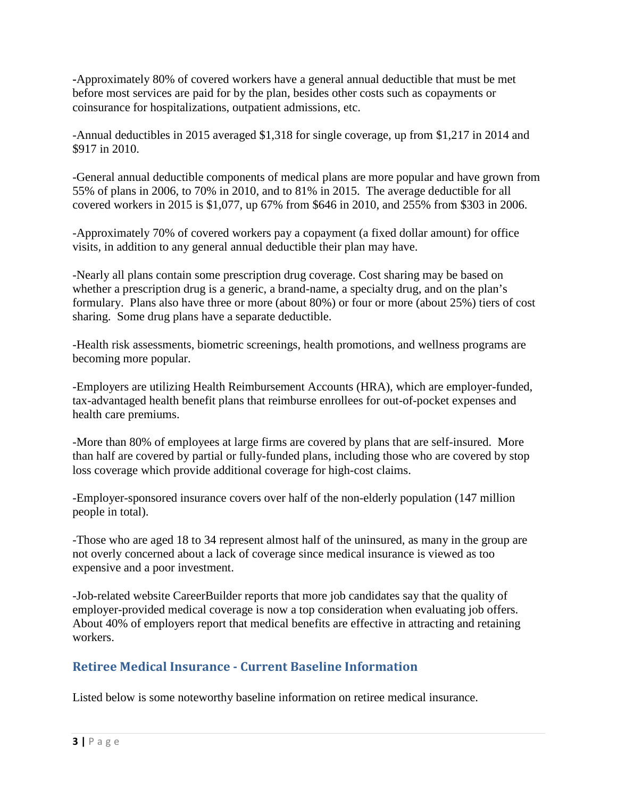**-**Approximately 80% of covered workers have a general annual deductible that must be met before most services are paid for by the plan, besides other costs such as copayments or coinsurance for hospitalizations, outpatient admissions, etc.

-Annual deductibles in 2015 averaged \$1,318 for single coverage, up from \$1,217 in 2014 and \$917 in 2010.

-General annual deductible components of medical plans are more popular and have grown from 55% of plans in 2006, to 70% in 2010, and to 81% in 2015. The average deductible for all covered workers in 2015 is \$1,077, up 67% from \$646 in 2010, and 255% from \$303 in 2006.

-Approximately 70% of covered workers pay a copayment (a fixed dollar amount) for office visits, in addition to any general annual deductible their plan may have.

-Nearly all plans contain some prescription drug coverage. Cost sharing may be based on whether a prescription drug is a generic, a brand-name, a specialty drug, and on the plan's formulary. Plans also have three or more (about 80%) or four or more (about 25%) tiers of cost sharing. Some drug plans have a separate deductible.

-Health risk assessments, biometric screenings, health promotions, and wellness programs are becoming more popular.

-Employers are utilizing Health Reimbursement Accounts (HRA), which are employer-funded, tax-advantaged health benefit plans that reimburse enrollees for out-of-pocket expenses and health care premiums.

-More than 80% of employees at large firms are covered by plans that are self-insured. More than half are covered by partial or fully-funded plans, including those who are covered by stop loss coverage which provide additional coverage for high-cost claims.

-Employer-sponsored insurance covers over half of the non-elderly population (147 million people in total).

-Those who are aged 18 to 34 represent almost half of the uninsured, as many in the group are not overly concerned about a lack of coverage since medical insurance is viewed as too expensive and a poor investment.

-Job-related website CareerBuilder reports that more job candidates say that the quality of employer-provided medical coverage is now a top consideration when evaluating job offers. About 40% of employers report that medical benefits are effective in attracting and retaining workers.

## **Retiree Medical Insurance - Current Baseline Information**

Listed below is some noteworthy baseline information on retiree medical insurance.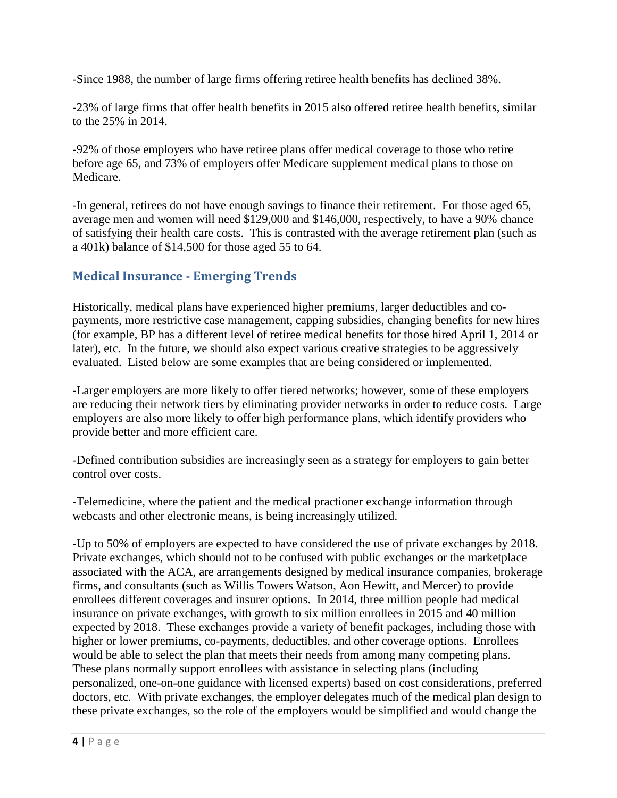-Since 1988, the number of large firms offering retiree health benefits has declined 38%.

-23% of large firms that offer health benefits in 2015 also offered retiree health benefits, similar to the 25% in 2014.

-92% of those employers who have retiree plans offer medical coverage to those who retire before age 65, and 73% of employers offer Medicare supplement medical plans to those on Medicare.

-In general, retirees do not have enough savings to finance their retirement. For those aged 65, average men and women will need \$129,000 and \$146,000, respectively, to have a 90% chance of satisfying their health care costs. This is contrasted with the average retirement plan (such as a 401k) balance of \$14,500 for those aged 55 to 64.

### **Medical Insurance - Emerging Trends**

Historically, medical plans have experienced higher premiums, larger deductibles and copayments, more restrictive case management, capping subsidies, changing benefits for new hires (for example, BP has a different level of retiree medical benefits for those hired April 1, 2014 or later), etc. In the future, we should also expect various creative strategies to be aggressively evaluated. Listed below are some examples that are being considered or implemented.

-Larger employers are more likely to offer tiered networks; however, some of these employers are reducing their network tiers by eliminating provider networks in order to reduce costs. Large employers are also more likely to offer high performance plans, which identify providers who provide better and more efficient care.

-Defined contribution subsidies are increasingly seen as a strategy for employers to gain better control over costs.

-Telemedicine, where the patient and the medical practioner exchange information through webcasts and other electronic means, is being increasingly utilized.

-Up to 50% of employers are expected to have considered the use of private exchanges by 2018. Private exchanges, which should not to be confused with public exchanges or the marketplace associated with the ACA, are arrangements designed by medical insurance companies, brokerage firms, and consultants (such as Willis Towers Watson, Aon Hewitt, and Mercer) to provide enrollees different coverages and insurer options. In 2014, three million people had medical insurance on private exchanges, with growth to six million enrollees in 2015 and 40 million expected by 2018. These exchanges provide a variety of benefit packages, including those with higher or lower premiums, co-payments, deductibles, and other coverage options. Enrollees would be able to select the plan that meets their needs from among many competing plans. These plans normally support enrollees with assistance in selecting plans (including personalized, one-on-one guidance with licensed experts) based on cost considerations, preferred doctors, etc. With private exchanges, the employer delegates much of the medical plan design to these private exchanges, so the role of the employers would be simplified and would change the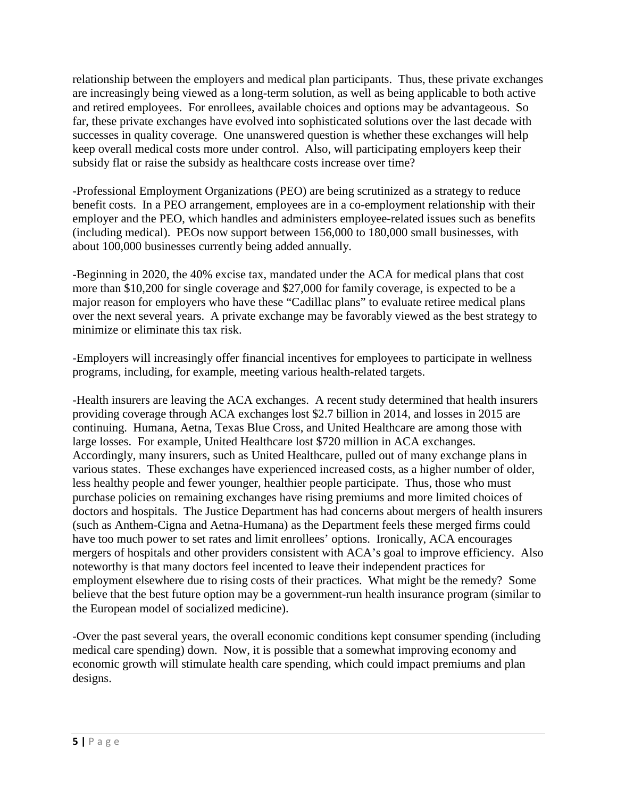relationship between the employers and medical plan participants. Thus, these private exchanges are increasingly being viewed as a long-term solution, as well as being applicable to both active and retired employees. For enrollees, available choices and options may be advantageous. So far, these private exchanges have evolved into sophisticated solutions over the last decade with successes in quality coverage. One unanswered question is whether these exchanges will help keep overall medical costs more under control. Also, will participating employers keep their subsidy flat or raise the subsidy as healthcare costs increase over time?

-Professional Employment Organizations (PEO) are being scrutinized as a strategy to reduce benefit costs. In a PEO arrangement, employees are in a co-employment relationship with their employer and the PEO, which handles and administers employee-related issues such as benefits (including medical). PEOs now support between 156,000 to 180,000 small businesses, with about 100,000 businesses currently being added annually.

-Beginning in 2020, the 40% excise tax, mandated under the ACA for medical plans that cost more than \$10,200 for single coverage and \$27,000 for family coverage, is expected to be a major reason for employers who have these "Cadillac plans" to evaluate retiree medical plans over the next several years. A private exchange may be favorably viewed as the best strategy to minimize or eliminate this tax risk.

-Employers will increasingly offer financial incentives for employees to participate in wellness programs, including, for example, meeting various health-related targets.

-Health insurers are leaving the ACA exchanges. A recent study determined that health insurers providing coverage through ACA exchanges lost \$2.7 billion in 2014, and losses in 2015 are continuing. Humana, Aetna, Texas Blue Cross, and United Healthcare are among those with large losses. For example, United Healthcare lost \$720 million in ACA exchanges. Accordingly, many insurers, such as United Healthcare, pulled out of many exchange plans in various states. These exchanges have experienced increased costs, as a higher number of older, less healthy people and fewer younger, healthier people participate. Thus, those who must purchase policies on remaining exchanges have rising premiums and more limited choices of doctors and hospitals. The Justice Department has had concerns about mergers of health insurers (such as Anthem-Cigna and Aetna-Humana) as the Department feels these merged firms could have too much power to set rates and limit enrollees' options. Ironically, ACA encourages mergers of hospitals and other providers consistent with ACA's goal to improve efficiency. Also noteworthy is that many doctors feel incented to leave their independent practices for employment elsewhere due to rising costs of their practices. What might be the remedy? Some believe that the best future option may be a government-run health insurance program (similar to the European model of socialized medicine).

-Over the past several years, the overall economic conditions kept consumer spending (including medical care spending) down. Now, it is possible that a somewhat improving economy and economic growth will stimulate health care spending, which could impact premiums and plan designs.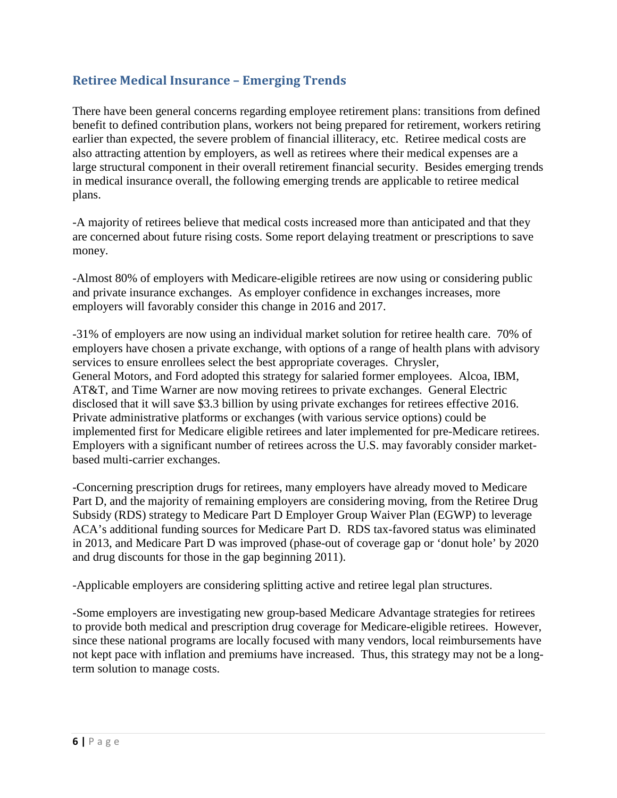## **Retiree Medical Insurance – Emerging Trends**

There have been general concerns regarding employee retirement plans: transitions from defined benefit to defined contribution plans, workers not being prepared for retirement, workers retiring earlier than expected, the severe problem of financial illiteracy, etc. Retiree medical costs are also attracting attention by employers, as well as retirees where their medical expenses are a large structural component in their overall retirement financial security. Besides emerging trends in medical insurance overall, the following emerging trends are applicable to retiree medical plans.

-A majority of retirees believe that medical costs increased more than anticipated and that they are concerned about future rising costs. Some report delaying treatment or prescriptions to save money.

-Almost 80% of employers with Medicare-eligible retirees are now using or considering public and private insurance exchanges. As employer confidence in exchanges increases, more employers will favorably consider this change in 2016 and 2017.

-31% of employers are now using an individual market solution for retiree health care. 70% of employers have chosen a private exchange, with options of a range of health plans with advisory services to ensure enrollees select the best appropriate coverages. Chrysler, General Motors, and Ford adopted this strategy for salaried former employees. Alcoa, IBM, AT&T, and Time Warner are now moving retirees to private exchanges. General Electric disclosed that it will save \$3.3 billion by using private exchanges for retirees effective 2016. Private administrative platforms or exchanges (with various service options) could be implemented first for Medicare eligible retirees and later implemented for pre-Medicare retirees. Employers with a significant number of retirees across the U.S. may favorably consider marketbased multi-carrier exchanges.

-Concerning prescription drugs for retirees, many employers have already moved to Medicare Part D, and the majority of remaining employers are considering moving, from the Retiree Drug Subsidy (RDS) strategy to Medicare Part D Employer Group Waiver Plan (EGWP) to leverage ACA's additional funding sources for Medicare Part D. RDS tax-favored status was eliminated in 2013, and Medicare Part D was improved (phase-out of coverage gap or 'donut hole' by 2020 and drug discounts for those in the gap beginning 2011).

-Applicable employers are considering splitting active and retiree legal plan structures.

-Some employers are investigating new group-based Medicare Advantage strategies for retirees to provide both medical and prescription drug coverage for Medicare-eligible retirees. However, since these national programs are locally focused with many vendors, local reimbursements have not kept pace with inflation and premiums have increased. Thus, this strategy may not be a longterm solution to manage costs.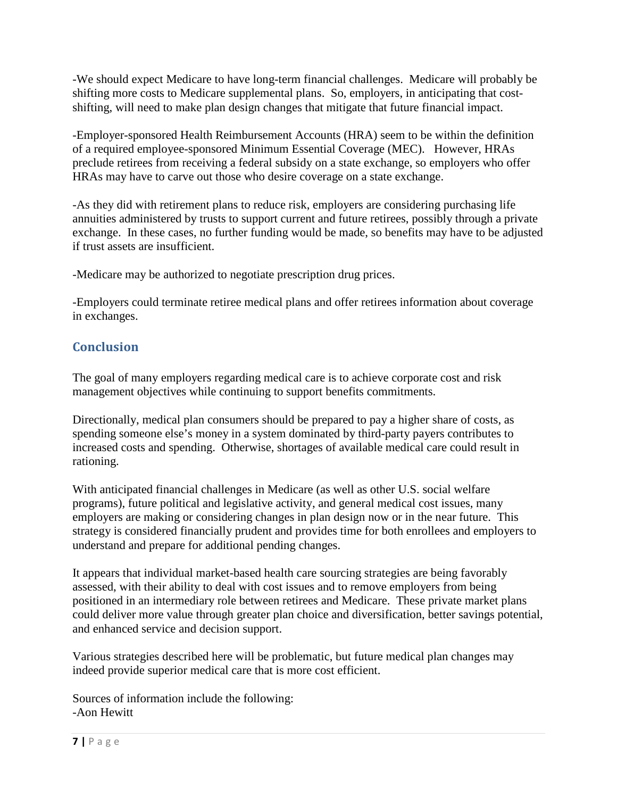-We should expect Medicare to have long-term financial challenges. Medicare will probably be shifting more costs to Medicare supplemental plans. So, employers, in anticipating that costshifting, will need to make plan design changes that mitigate that future financial impact.

-Employer-sponsored Health Reimbursement Accounts (HRA) seem to be within the definition of a required employee-sponsored Minimum Essential Coverage (MEC). However, HRAs preclude retirees from receiving a federal subsidy on a state exchange, so employers who offer HRAs may have to carve out those who desire coverage on a state exchange.

-As they did with retirement plans to reduce risk, employers are considering purchasing life annuities administered by trusts to support current and future retirees, possibly through a private exchange. In these cases, no further funding would be made, so benefits may have to be adjusted if trust assets are insufficient.

-Medicare may be authorized to negotiate prescription drug prices.

-Employers could terminate retiree medical plans and offer retirees information about coverage in exchanges.

## **Conclusion**

The goal of many employers regarding medical care is to achieve corporate cost and risk management objectives while continuing to support benefits commitments.

Directionally, medical plan consumers should be prepared to pay a higher share of costs, as spending someone else's money in a system dominated by third-party payers contributes to increased costs and spending. Otherwise, shortages of available medical care could result in rationing.

With anticipated financial challenges in Medicare (as well as other U.S. social welfare programs), future political and legislative activity, and general medical cost issues, many employers are making or considering changes in plan design now or in the near future. This strategy is considered financially prudent and provides time for both enrollees and employers to understand and prepare for additional pending changes.

It appears that individual market-based health care sourcing strategies are being favorably assessed, with their ability to deal with cost issues and to remove employers from being positioned in an intermediary role between retirees and Medicare. These private market plans could deliver more value through greater plan choice and diversification, better savings potential, and enhanced service and decision support.

Various strategies described here will be problematic, but future medical plan changes may indeed provide superior medical care that is more cost efficient.

Sources of information include the following: -Aon Hewitt